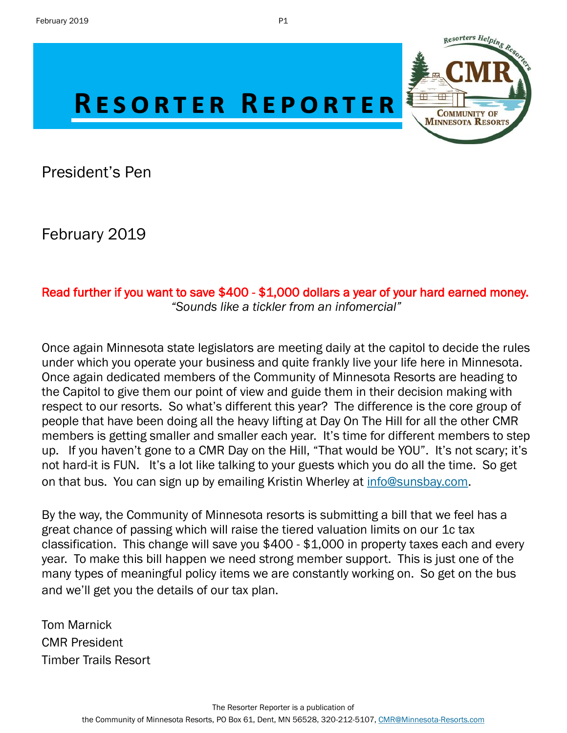

President's Pen

February 2019

## Read further if you want to save \$400 - \$1,000 dollars a year of your hard earned money. *"Sounds like a tickler from an infomercial"*

Once again Minnesota state legislators are meeting daily at the capitol to decide the rules under which you operate your business and quite frankly live your life here in Minnesota. Once again dedicated members of the Community of Minnesota Resorts are heading to the Capitol to give them our point of view and guide them in their decision making with respect to our resorts. So what's different this year? The difference is the core group of people that have been doing all the heavy lifting at Day On The Hill for all the other CMR members is getting smaller and smaller each year. It's time for different members to step up. If you haven't gone to a CMR Day on the Hill, "That would be YOU". It's not scary; it's not hard-it is FUN. It's a lot like talking to your guests which you do all the time. So get on that bus. You can sign up by emailing Kristin Wherley at [info@sunsbay.com.](mailto:info@sunsbay.com?subject=Day%20On%20The%20Hill%20Sign%20Up)

By the way, the Community of Minnesota resorts is submitting a bill that we feel has a great chance of passing which will raise the tiered valuation limits on our 1c tax classification. This change will save you \$400 - \$1,000 in property taxes each and every year. To make this bill happen we need strong member support. This is just one of the many types of meaningful policy items we are constantly working on. So get on the bus and we'll get you the details of our tax plan.

Tom Marnick CMR President Timber Trails Resort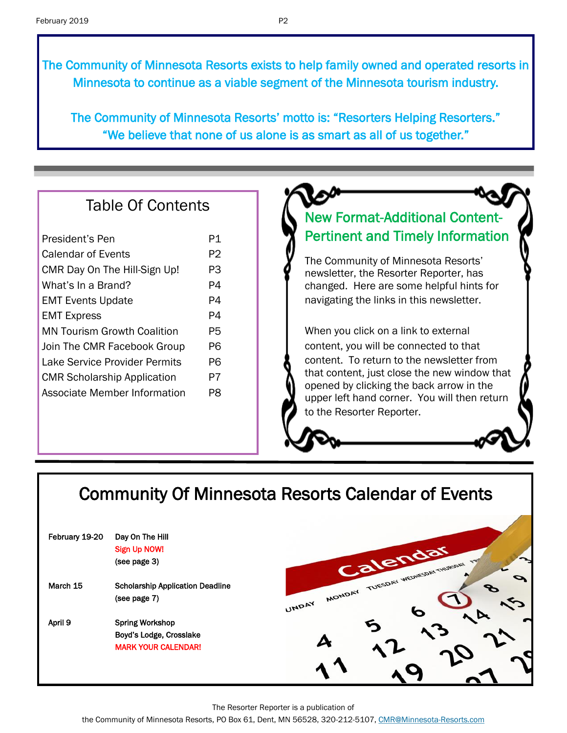The Community of Minnesota Resorts exists to help family owned and operated resorts in Minnesota to continue as a viable segment of the Minnesota tourism industry.

The Community of Minnesota Resorts' motto is: "Resorters Helping Resorters." "We believe that none of us alone is as smart as all of us together."

## Table Of Contents

| President's Pen                    | P1 |  |
|------------------------------------|----|--|
| Calendar of Events                 | P2 |  |
| CMR Day On The Hill-Sign Up!       | PЗ |  |
| What's In a Brand?                 | P4 |  |
| <b>EMT Events Update</b>           | P4 |  |
| <b>EMT Express</b>                 | P4 |  |
| <b>MN Tourism Growth Coalition</b> | P5 |  |
| Join The CMR Facebook Group        | P6 |  |
| Lake Service Provider Permits      | P6 |  |
| <b>CMR Scholarship Application</b> |    |  |
| Associate Member Information       |    |  |
|                                    |    |  |

# New Format-Additional Content-Pertinent and Timely Information

The Community of Minnesota Resorts' newsletter, the Resorter Reporter, has changed. Here are some helpful hints for navigating the links in this newsletter.

When you click on a link to external content, you will be connected to that content. To return to the newsletter from that content, just close the new window that opened by clicking the back arrow in the upper left hand corner. You will then return to the Resorter Reporter.

# Community Of Minnesota Resorts Calendar of Events

| February 19-20 | Day On The Hill<br>Sign Up NOW!         |                                                  |
|----------------|-----------------------------------------|--------------------------------------------------|
|                |                                         |                                                  |
|                | (see page 3)                            | Calendar<br>MONDAY TUESDAY WEDNESDAY THURSDAY TW |
| March 15       | <b>Scholarship Application Deadline</b> |                                                  |
|                | (see page 7)                            | UNDAY                                            |
| April 9        | <b>Spring Workshop</b>                  |                                                  |
|                | Boyd's Lodge, Crosslake                 |                                                  |
|                | <b>MARK YOUR CALENDAR!</b>              |                                                  |
|                |                                         |                                                  |
|                |                                         |                                                  |

The Resorter Reporter is a publication of

the Community of Minnesota Resorts, PO Box 61, Dent, MN 56528, 320-212-5107, [CMR@Minnesota-Resorts.com](mailto:CMR@Minnesota-Resorts.com?subject=Community%20of%20Minnesota%20Resorts)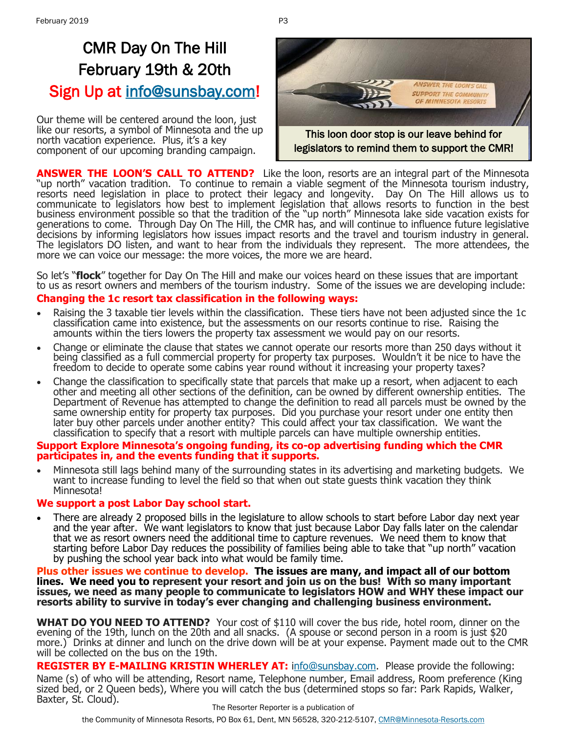# CMR Day On The Hill February 19th & 20th Sign Up at [info@sunsbay.com!](mailto:info@sunsbay.com?subject=Day%20On%20The%20Hill%20Sign-Up)

Our theme will be centered around the loon, just like our resorts, a symbol of Minnesota and the up north vacation experience. Plus, it's a key component of our upcoming branding campaign.



**ANSWER THE LOON'S CALL TO ATTEND?** Like the loon, resorts are an integral part of the Minnesota "up north" vacation tradition. To continue to remain a viable segment of the Minnesota tourism industry, resorts need legislation in place to protect their legacy and longevity. Day On The Hill allows us to communicate to legislators how best to implement legislation that allows resorts to function in the best business environment possible so that the tradition of the "up north" Minnesota lake side vacation exists for generations to come. Through Day On The Hill, the CMR has, and will continue to influence future legislative decisions by informing legislators how issues impact resorts and the travel and tourism industry in general. The legislators DO listen, and want to hear from the individuals they represent. The more attendees, the more we can voice our message: the more voices, the more we are heard.

So let's "**flock**" together for Day On The Hill and make our voices heard on these issues that are important to us as resort owners and members of the tourism industry. Some of the issues we are developing include:

#### **Changing the 1c resort tax classification in the following ways:**

- Raising the 3 taxable tier levels within the classification. These tiers have not been adjusted since the 1c classification came into existence, but the assessments on our resorts continue to rise. Raising the amounts within the tiers lowers the property tax assessment we would pay on our resorts.
- Change or eliminate the clause that states we cannot operate our resorts more than 250 days without it being classified as a full commercial property for property tax purposes. Wouldn't it be nice to have the freedom to decide to operate some cabins year round without it increasing your property taxes?
- Change the classification to specifically state that parcels that make up a resort, when adjacent to each other and meeting all other sections of the definition, can be owned by different ownership entities. The Department of Revenue has attempted to change the definition to read all parcels must be owned by the same ownership entity for property tax purposes. Did you purchase your resort under one entity then later buy other parcels under another entity? This could affect your tax classification. We want the classification to specify that a resort with multiple parcels can have multiple ownership entities.

#### **Support Explore Minnesota's ongoing funding, its co-op advertising funding which the CMR participates in, and the events funding that it supports.**

• Minnesota still lags behind many of the surrounding states in its advertising and marketing budgets. We want to increase funding to level the field so that when out state guests think vacation they think Minnesota!

#### **We support a post Labor Day school start.**

• There are already 2 proposed bills in the legislature to allow schools to start before Labor day next year and the year after. We want legislators to know that just because Labor Day falls later on the calendar that we as resort owners need the additional time to capture revenues. We need them to know that starting before Labor Day reduces the possibility of families being able to take that "up north" vacation by pushing the school year back into what would be family time.

**Plus other issues we continue to develop. The issues are many, and impact all of our bottom lines. We need you to represent your resort and join us on the bus! With so many important issues, we need as many people to communicate to legislators HOW and WHY these impact our resorts ability to survive in today's ever changing and challenging business environment.** 

**WHAT DO YOU NEED TO ATTEND?** Your cost of \$110 will cover the bus ride, hotel room, dinner on the evening of the 19th, lunch on the 20th and all snacks. (A spouse or second person in a room is just \$20 more.) Drinks at dinner and lunch on the drive down will be at your expense. Payment made out to the CMR will be collected on the bus on the 19th.

**REGISTER BY E-MAILING KRISTIN WHERLEY AT:** i[nfo@sunsbay.com.](mailto:info@sunsbay.com?subject=Day%20On%20The%20Hill) Please provide the following: Name (s) of who will be attending, Resort name, Telephone number, Email address, Room preference (King sized bed, or 2 Queen beds), Where you will catch the bus (determined stops so far: Park Rapids, Walker, Baxter, St. Cloud).

The Resorter Reporter is a publication of

the Community of Minnesota Resorts, PO Box 61, Dent, MN 56528, 320-212-5107, [CMR@Minnesota-Resorts.com](mailto:CMR@Minnesota-Resorts.com?subject=Community%20of%20Minnesota%20Resorts)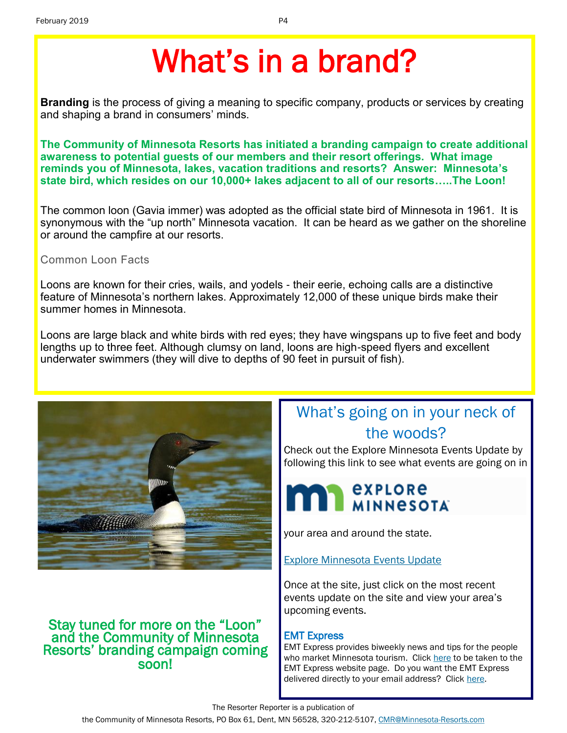# What's in a brand?

**Branding** is the process of giving a meaning to specific company, products or services by creating and shaping a brand in consumers' minds.

**The Community of Minnesota Resorts has initiated a branding campaign to create additional awareness to potential guests of our members and their resort offerings. What image reminds you of Minnesota, lakes, vacation traditions and resorts? Answer: Minnesota's state bird, which resides on our 10,000+ lakes adjacent to all of our resorts…..The Loon!**

The common loon (Gavia immer) was adopted as the official state bird of Minnesota in 1961. It is synonymous with the "up north" Minnesota vacation. It can be heard as we gather on the shoreline or around the campfire at our resorts.

#### Common Loon Facts

Loons are known for their cries, wails, and yodels - their eerie, echoing calls are a distinctive feature of Minnesota's northern lakes. Approximately 12,000 of these unique birds make their summer homes in Minnesota.

Loons are large black and white birds with red eyes; they have wingspans up to five feet and body lengths up to three feet. Although clumsy on land, loons are high-speed flyers and excellent underwater swimmers (they will dive to depths of 90 feet in pursuit of fish).



## Stay tuned for more on the "Loon" and the Community of Minnesota Resorts' branding campaign coming soon!

# What's going on in your neck of the woods?

Check out the Explore Minnesota Events Update by following this link to see what events are going on in



your area and around the state.

[Explore Minnesota Events Update](http://www.exploreminnesota.com/newsletter-sign-up/reports/events-report/)

Once at the site, just click on the most recent events update on the site and view your area's upcoming events.

### EMT Express

EMT Express provides biweekly news and tips for the people who market Minnesota tourism. Click [here](https://www.exploreminnesota.com/industry-minnesota/news/emt-express/) to be taken to the EMT Express website page. Do you want the EMT Express delivered directly to your email address? Click [here.](https://www.exploreminnesota.com/forms/Contacts/Sign_Up_for_the_EMT_Express_Newsletter.aspx)

The Resorter Reporter is a publication of

the Community of Minnesota Resorts, PO Box 61, Dent, MN 56528, 320-212-5107, [CMR@Minnesota-Resorts.com](mailto:CMR@Minnesota-Resorts.com?subject=Community%20of%20Minnesota%20Resorts)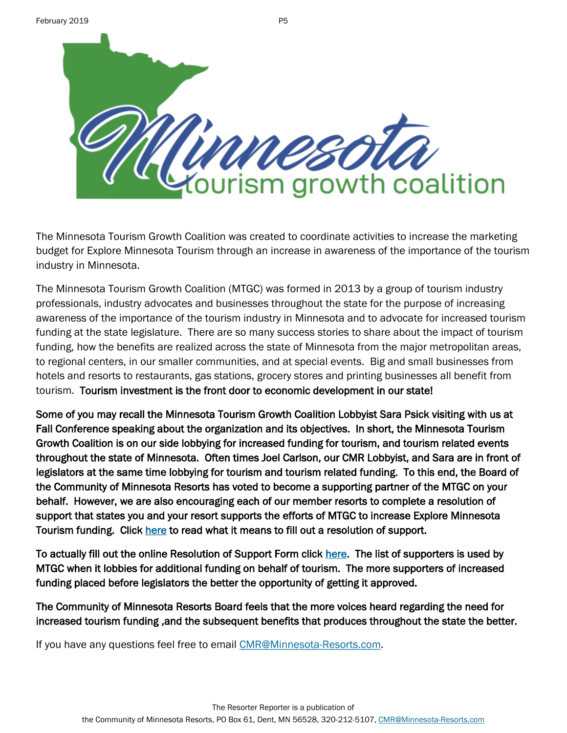

The Minnesota Tourism Growth Coalition was created to coordinate activities to increase the marketing budget for Explore Minnesota Tourism through an increase in awareness of the importance of the tourism industry in Minnesota.

The Minnesota Tourism Growth Coalition (MTGC) was formed in 2013 by a group of tourism industry professionals, industry advocates and businesses throughout the state for the purpose of increasing awareness of the importance of the tourism industry in Minnesota and to advocate for increased tourism funding at the state legislature. There are so many success stories to share about the impact of tourism funding, how the benefits are realized across the state of Minnesota from the major metropolitan areas, to regional centers, in our smaller communities, and at special events. Big and small businesses from hotels and resorts to restaurants, gas stations, grocery stores and printing businesses all benefit from tourism. Tourism investment is the front door to economic development in our state!

Some of you may recall the Minnesota Tourism Growth Coalition Lobbyist Sara Psick visiting with us at Fall Conference speaking about the organization and its objectives. In short, the Minnesota Tourism Growth Coalition is on our side lobbying for increased funding for tourism, and tourism related events throughout the state of Minnesota. Often times Joel Carlson, our CMR Lobbyist, and Sara are in front of legislators at the same time lobbying for tourism and tourism related funding. To this end, the Board of the Community of Minnesota Resorts has voted to become a supporting partner of the MTGC on your behalf. However, we are also encouraging each of our member resorts to complete a resolution of support that states you and your resort supports the efforts of MTGC to increase Explore Minnesota Tourism funding. Click [here t](http://mntourism.net/resolution-of-support/)o read what it means to fill out a resolution of support.

To actually fill out the online Resolution of Support Form click [here.](http://mntourism.net/resolution-of-support-form/) The list of supporters is used by MTGC when it lobbies for additional funding on behalf of tourism. The more supporters of increased funding placed before legislators the better the opportunity of getting it approved.

The Community of Minnesota Resorts Board feels that the more voices heard regarding the need for increased tourism funding ,and the subsequent benefits that produces throughout the state the better.

If you have any questions feel free to email [CMR@Minnesota-Resorts.com.](mailto:CMR@Minnesota-Resorts.com?subject=MN%20Tourism%20Growth%20Coalition)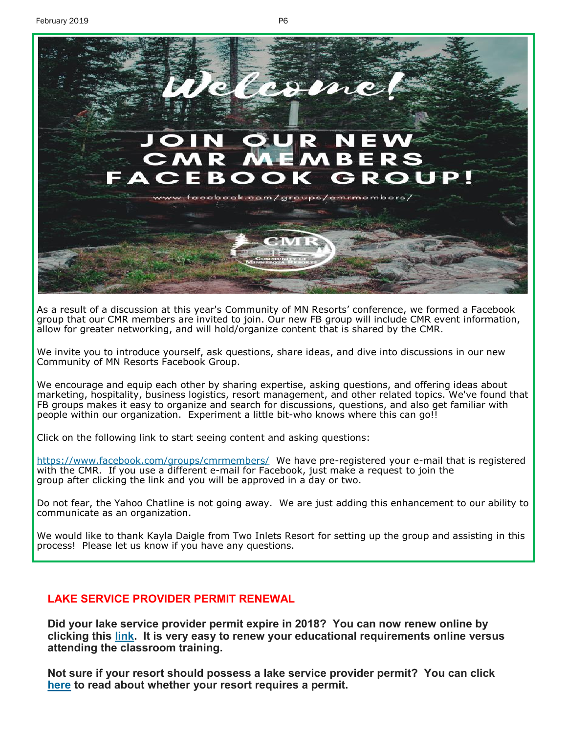

As a result of a discussion at this year's Community of MN Resorts' conference, we formed a Facebook group that our CMR members are invited to join. Our new FB group will include CMR event information, allow for greater networking, and will hold/organize content that is shared by the CMR.

We invite you to introduce yourself, ask questions, share ideas, and dive into discussions in our new Community of MN Resorts Facebook Group.

We encourage and equip each other by sharing expertise, asking questions, and offering ideas about marketing, hospitality, business logistics, resort management, and other related topics. We've found that FB groups makes it easy to organize and search for discussions, questions, and also get familiar with people within our organization. Experiment a little bit-who knows where this can go!!

Click on the following link to start seeing content and asking questions:

<https://www.facebook.com/groups/cmrmembers/> We have pre-registered your e-mail that is registered with the CMR. If you use a different e-mail for Facebook, just make a request to join the group after clicking the link and you will be approved in a day or two.

Do not fear, the Yahoo Chatline is not going away. We are just adding this enhancement to our ability to communicate as an organization.

We would like to thank Kayla Daigle from Two Inlets Resort for setting up the group and assisting in this process! Please let us know if you have any questions.

#### **LAKE SERVICE PROVIDER PERMIT RENEWAL**

**Did your lake service provider permit expire in 2018? You can now renew online by clicking this [link.](https://www.dnr.state.mn.us/lsp/mandatory.html) It is very easy to renew your educational requirements online versus attending the classroom training.**

**Not sure if your resort should possess a lake service provider permit? You can click [here](https://www.dnr.state.mn.us/lsp/lsp-business.html) to read about whether your resort requires a permit.**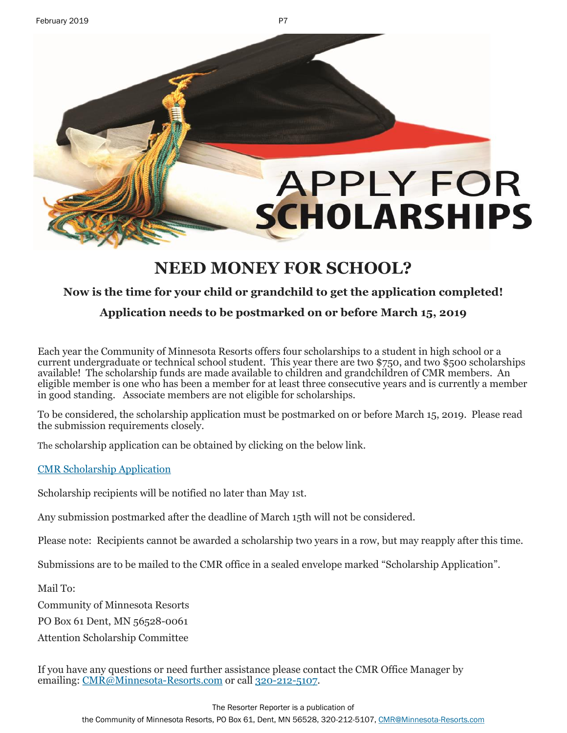# **APPLY FOR SCHOLARSHIPS**

# **NEED MONEY FOR SCHOOL?**

## **Now is the time for your child or grandchild to get the application completed!**

### **Application needs to be postmarked on or before March 15, 2019**

Each year the Community of Minnesota Resorts offers four scholarships to a student in high school or a current undergraduate or technical school student. This year there are two \$750, and two \$500 scholarships available! The scholarship funds are made available to children and grandchildren of CMR members. An eligible member is one who has been a member for at least three consecutive years and is currently a member in good standing. Associate members are not eligible for scholarships.

To be considered, the scholarship application must be postmarked on or before March 15, 2019. Please read the submission requirements closely.

The scholarship application can be obtained by clicking on the below link.

#### [CMR Scholarship Application](http://minnesota-resorts.com/wp-content/uploads/2019/02/Scholarship-Application-2017.pdf)

Scholarship recipients will be notified no later than May 1st.

Any submission postmarked after the deadline of March 15th will not be considered.

Please note: Recipients cannot be awarded a scholarship two years in a row, but may reapply after this time.

Submissions are to be mailed to the CMR office in a sealed envelope marked "Scholarship Application".

Mail To:

Community of Minnesota Resorts

PO Box 61 Dent, MN 56528-0061

Attention Scholarship Committee

If you have any questions or need further assistance please contact the CMR Office Manager by emailing: [CMR@Minnesota](mailto:cmr@minnesota-resorts.com)-Resorts.com or call 320-212-[5107.](tel:(320)%20212-5107)